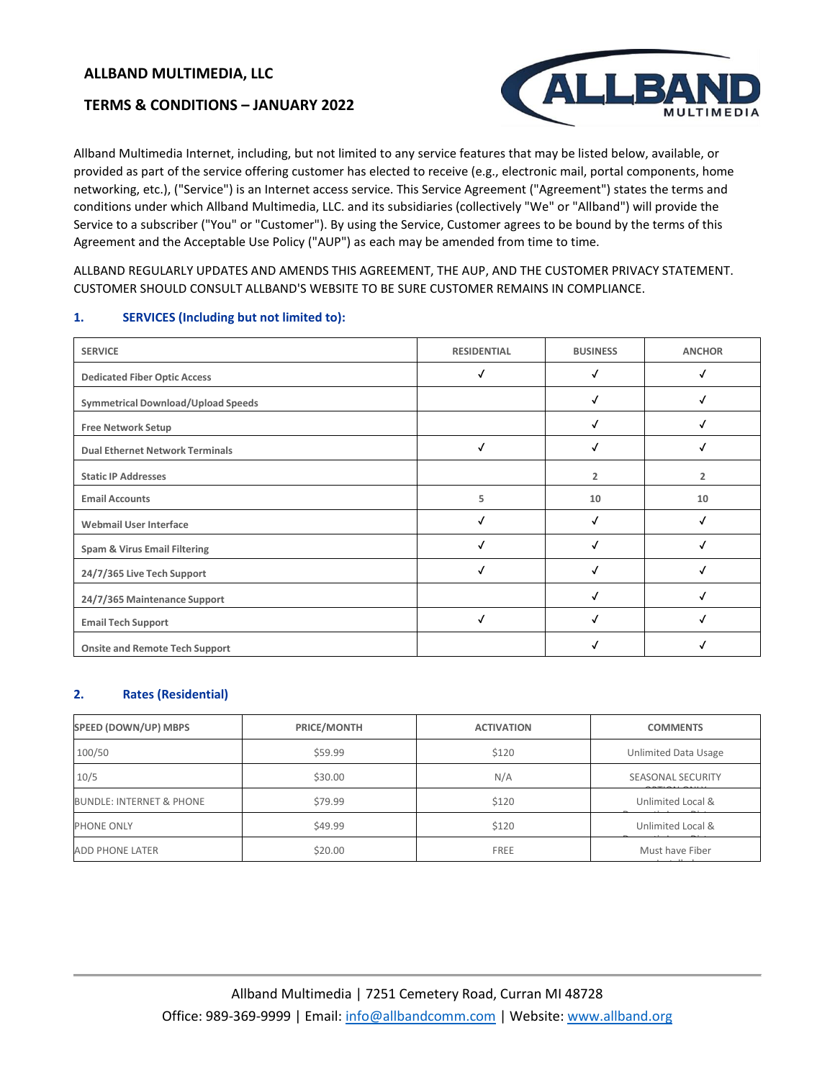# **TERMS & CONDITIONS – JANUARY 2022**



Allband Multimedia Internet, including, but not limited to any service features that may be listed below, available, or provided as part of the service offering customer has elected to receive (e.g., electronic mail, portal components, home networking, etc.), ("Service") is an Internet access service. This Service Agreement ("Agreement") states the terms and conditions under which Allband Multimedia, LLC. and its subsidiaries (collectively "We" or "Allband") will provide the Service to a subscriber ("You" or "Customer"). By using the Service, Customer agrees to be bound by the terms of this Agreement and the Acceptable Use Policy ("AUP") as each may be amended from time to time.

ALLBAND REGULARLY UPDATES AND AMENDS THIS AGREEMENT, THE AUP, AND THE CUSTOMER PRIVACY STATEMENT. CUSTOMER SHOULD CONSULT ALLBAND'S WEBSITE TO BE SURE CUSTOMER REMAINS IN COMPLIANCE.

#### **1. SERVICES (Including but not limited to):**

| <b>SERVICE</b>                            | <b>RESIDENTIAL</b> | <b>BUSINESS</b> | <b>ANCHOR</b>  |
|-------------------------------------------|--------------------|-----------------|----------------|
| <b>Dedicated Fiber Optic Access</b>       |                    |                 |                |
| <b>Symmetrical Download/Upload Speeds</b> |                    |                 |                |
| <b>Free Network Setup</b>                 |                    |                 |                |
| <b>Dual Ethernet Network Terminals</b>    | √                  |                 |                |
| <b>Static IP Addresses</b>                |                    | $\overline{2}$  | $\overline{2}$ |
| <b>Email Accounts</b>                     | 5                  | 10              | 10             |
| <b>Webmail User Interface</b>             |                    |                 |                |
| <b>Spam &amp; Virus Email Filtering</b>   |                    |                 |                |
| 24/7/365 Live Tech Support                |                    |                 |                |
| 24/7/365 Maintenance Support              |                    | Ñ               |                |
| <b>Email Tech Support</b>                 | J                  |                 |                |
| <b>Onsite and Remote Tech Support</b>     |                    |                 |                |

#### **2. Rates (Residential)**

| SPEED (DOWN/UP) MBPS                | PRICE/MONTH | <b>ACTIVATION</b> | <b>COMMENTS</b>             |
|-------------------------------------|-------------|-------------------|-----------------------------|
| 100/50                              | \$59.99     | \$120             | <b>Unlimited Data Usage</b> |
| 10/5                                | \$30.00     | N/A               | SEASONAL SECURITY           |
| <b>BUNDLE: INTERNET &amp; PHONE</b> | \$79.99     | \$120             | Unlimited Local &           |
| PHONE ONLY                          | \$49.99     | \$120             | Unlimited Local &           |
| <b>ADD PHONE LATER</b>              | \$20.00     | <b>FREE</b>       | Must have Fiber             |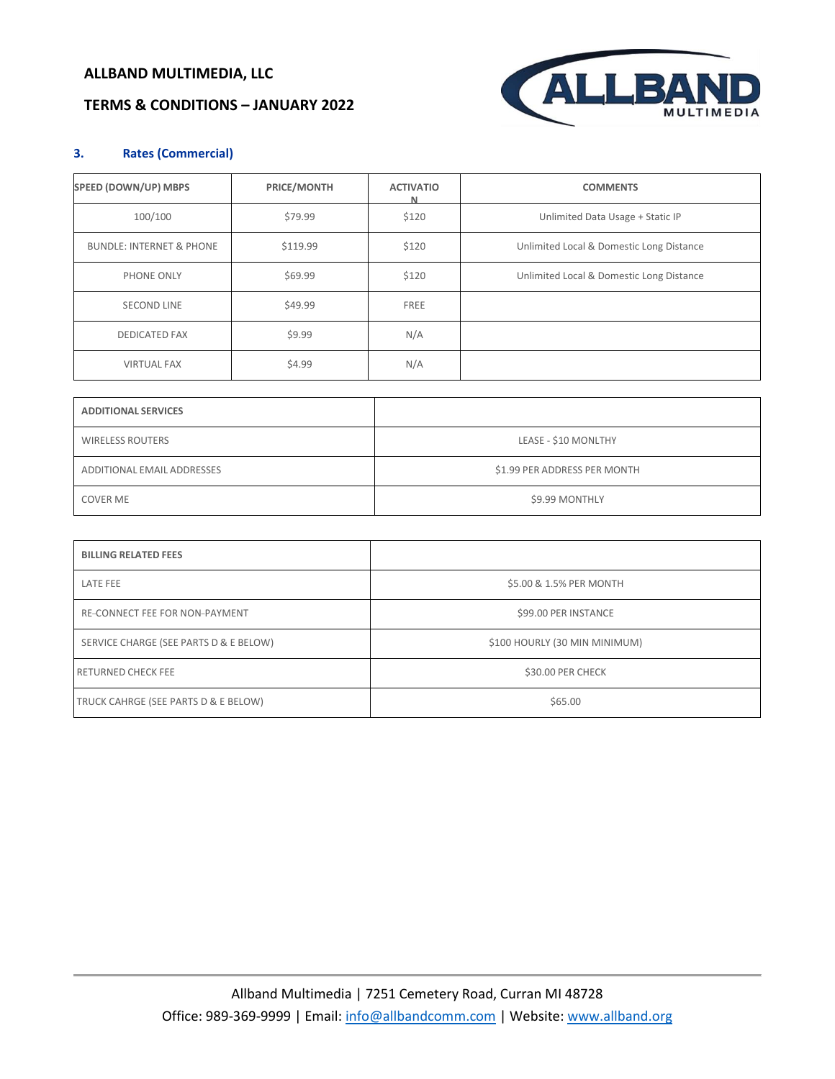# **TERMS & CONDITIONS – JANUARY 2022**



### **3. Rates (Commercial)**

| SPEED (DOWN/UP) MBPS                | PRICE/MONTH | <b>ACTIVATIO</b><br>N | <b>COMMENTS</b>                          |
|-------------------------------------|-------------|-----------------------|------------------------------------------|
| 100/100                             | \$79.99     | \$120                 | Unlimited Data Usage + Static IP         |
| <b>BUNDLE: INTERNET &amp; PHONE</b> | \$119.99    | \$120                 | Unlimited Local & Domestic Long Distance |
| PHONE ONLY                          | \$69.99     | \$120                 | Unlimited Local & Domestic Long Distance |
| <b>SECOND LINE</b>                  | \$49.99     | FREE                  |                                          |
| <b>DEDICATED FAX</b>                | \$9.99      | N/A                   |                                          |
| <b>VIRTUAL FAX</b>                  | \$4.99      | N/A                   |                                          |

| <b>ADDITIONAL SERVICES</b> |                              |
|----------------------------|------------------------------|
| <b>WIRELESS ROUTERS</b>    | LEASE - \$10 MONLTHY         |
| ADDITIONAL EMAIL ADDRESSES | \$1.99 PER ADDRESS PER MONTH |
| <b>COVER ME</b>            | \$9.99 MONTHLY               |

| <b>BILLING RELATED FEES</b>            |                               |
|----------------------------------------|-------------------------------|
| LATE FEE                               | \$5.00 & 1.5% PER MONTH       |
| RE-CONNECT FEE FOR NON-PAYMENT         | \$99.00 PER INSTANCE          |
| SERVICE CHARGE (SEE PARTS D & E BELOW) | \$100 HOURLY (30 MIN MINIMUM) |
| <b>RETURNED CHECK FEE</b>              | \$30.00 PER CHECK             |
| TRUCK CAHRGE (SEE PARTS D & E BELOW)   | \$65.00                       |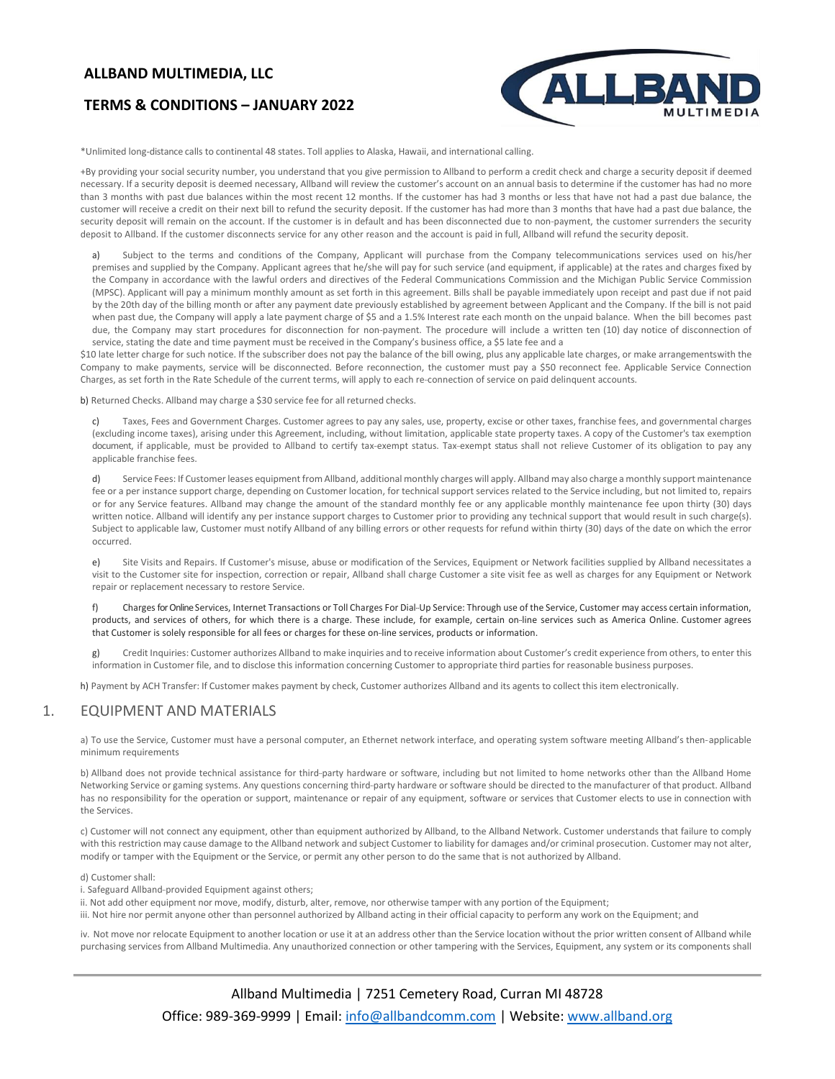# **TERMS & CONDITIONS – JANUARY 2022**



\*Unlimited long-distance calls to continental 48 states. Toll applies to Alaska, Hawaii, and international calling.

+By providing your social security number, you understand that you give permission to Allband to perform a credit check and charge a security deposit if deemed necessary. If a security deposit is deemed necessary, Allband will review the customer's account on an annual basis to determine if the customer has had no more than 3 months with past due balances within the most recent 12 months. If the customer has had 3 months or less that have not had a past due balance, the customer will receive a credit on their next bill to refund the security deposit. If the customer has had more than 3 months that have had a past due balance, the security deposit will remain on the account. If the customer is in default and has been disconnected due to non-payment, the customer surrenders the security deposit to Allband. If the customer disconnects service for any other reason and the account is paid in full, Allband will refund the security deposit.

a) Subject to the terms and conditions of the Company, Applicant will purchase from the Company telecommunications services used on his/her premises and supplied by the Company. Applicant agrees that he/she will pay for such service (and equipment, if applicable) at the rates and charges fixed by the Company in accordance with the lawful orders and directives of the Federal Communications Commission and the Michigan Public Service Commission (MPSC). Applicant will pay a minimum monthly amount as set forth in this agreement. Bills shall be payable immediately upon receipt and past due if not paid by the 20th day of the billing month or after any payment date previously established by agreement between Applicant and the Company. If the bill is not paid when past due, the Company will apply a late payment charge of \$5 and a 1.5% Interest rate each month on the unpaid balance. When the bill becomes past due, the Company may start procedures for disconnection for non-payment. The procedure will include a written ten (10) day notice of disconnection of service, stating the date and time payment must be received in the Company's business office, a \$5 late fee and a

\$10 late letter charge for such notice. If the subscriber does not pay the balance of the bill owing, plus any applicable late charges, or make arrangementswith the Company to make payments, service will be disconnected. Before reconnection, the customer must pay a \$50 reconnect fee. Applicable Service Connection Charges, as set forth in the Rate Schedule of the current terms, will apply to each re-connection of service on paid delinquent accounts.

b) Returned Checks. Allband may charge a \$30 service fee for all returned checks.

c) Taxes, Fees and Government Charges. Customer agrees to pay any sales, use, property, excise or other taxes, franchise fees, and governmental charges (excluding income taxes), arising under this Agreement, including, without limitation, applicable state property taxes. A copy of the Customer's tax exemption document, if applicable, must be provided to Allband to certify tax-exempt status. Tax-exempt status shall not relieve Customer of its obligation to pay any applicable franchise fees.

d) Service Fees: If Customer leases equipment from Allband, additional monthly charges will apply. Allband may also charge a monthly support maintenance fee or a per instance support charge, depending on Customer location, for technical support services related to the Service including, but not limited to, repairs or for any Service features. Allband may change the amount of the standard monthly fee or any applicable monthly maintenance fee upon thirty (30) days written notice. Allband will identify any per instance support charges to Customer prior to providing any technical support that would result in such charge(s). Subject to applicable law, Customer must notify Allband of any billing errors or other requests for refund within thirty (30) days of the date on which the error occurred.

e) Site Visits and Repairs. If Customer's misuse, abuse or modification of the Services, Equipment or Network facilities supplied by Allband necessitates a visit to the Customer site for inspection, correction or repair, Allband shall charge Customer a site visit fee as well as charges for any Equipment or Network repair or replacement necessary to restore Service.

f) Charges forOnlineServices, Internet Transactions or Toll Charges For Dial-Up Service: Through use of the Service, Customer may access certain information, products, and services of others, for which there is a charge. These include, for example, certain on-line services such as America Online. Customer agrees that Customer is solely responsible for all fees or charges for these on- line services, products or information.

g) Credit Inquiries: Customer authorizes Allband to make inquiries and to receive information about Customer's credit experience from others, to enter this information in Customer file, and to disclose this information concerning Customer to appropriate third parties for reasonable business purposes.

h) Payment by ACH Transfer: If Customer makes payment by check, Customer authorizes Allband and its agents to collect this item electronically.

### 1. EQUIPMENT AND MATERIALS

a) To use the Service, Customer must have a personal computer, an Ethernet network interface, and operating system software meeting Allband's then-applicable minimum requirements

b) Allband does not provide technical assistance for third-party hardware or software, including but not limited to home networks other than the Allband Home Networking Service or gaming systems. Any questions concerning third-party hardware or software should be directed to the manufacturer of that product. Allband has no responsibility for the operation or support, maintenance or repair of any equipment, software or services that Customer elects to use in connection with the Services.

c) Customer will not connect any equipment, other than equipment authorized by Allband, to the Allband Network. Customer understands that failure to comply with this restriction may cause damage to the Allband network and subject Customer to liability for damages and/or criminal prosecution. Customer may not alter, modify or tamper with the Equipment or the Service, or permit any other person to do the same that is not authorized by Allband.

d) Customer shall:

i. Safeguard Allband-provided Equipment against others;

ii. Not add other equipment nor move, modify, disturb, alter, remove, nor otherwise tamper with any portion of the Equipment;

iii. Not hire nor permit anyone other than personnel authorized by Allband acting in their official capacity to perform any work on the Equipment; and

iv. Not move nor relocate Equipment to another location or use it at an address other than the Service location without the prior written consent of Allband while purchasing services from Allband Multimedia. Any unauthorized connection or other tampering with the Services, Equipment, any system or its components shall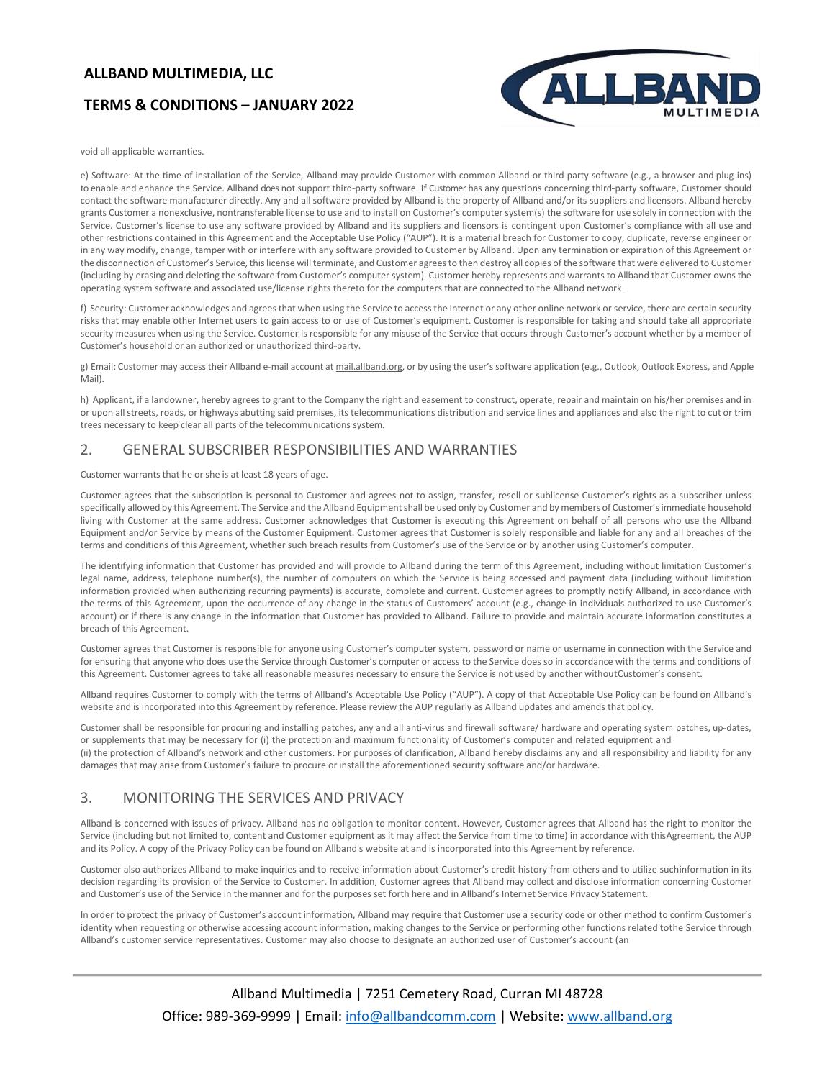# **TERMS & CONDITIONS – JANUARY 2022**



void all applicable warranties.

e) Software: At the time of installation of the Service, Allband may provide Customer with common Allband or third-party software (e.g., a browser and plug-ins) to enable and enhance the Service. Allband does not support third-party software. If Customer has any questions concerning third-party software, Customer should contact the software manufacturer directly. Any and all software provided by Allband is the property of Allband and/or its suppliers and licensors. Allband hereby grants Customer a nonexclusive, nontransferable license to use and to install on Customer's computer system(s) the software for use solely in connection with the Service. Customer's license to use any software provided by Allband and its suppliers and licensors is contingent upon Customer's compliance with all use and other restrictions contained in this Agreement and the Acceptable Use Policy ("AUP"). It is a material breach for Customer to copy, duplicate, reverse engineer or in any way modify, change, tamper with or interfere with any software provided to Customer by Allband. Upon any termination or expiration of this Agreement or the disconnection of Customer's Service, this license will terminate, and Customer agrees to then destroy all copies of the software that were delivered to Customer (including by erasing and deleting the software from Customer's computer system). Customer hereby represents and warrants to Allband that Customer owns the operating system software and associated use/license rights thereto for the computers that are connected to the Allband network.

f) Security: Customer acknowledges and agrees that when using the Service to access the Internet or any other online network or service, there are certain security risks that may enable other Internet users to gain access to or use of Customer's equipment. Customer is responsible for taking and should take all appropriate security measures when using the Service. Customer is responsible for any misuse of the Service that occurs through Customer's account whether by a member of Customer's household or an authorized or unauthorized third-party.

g) Email: Customer may access their Allband e-mail account at mail.allband.org, or by using the user's software application (e.g., Outlook, Outlook Express, and Apple Mail).

h) Applicant, if a landowner, hereby agrees to grant to the Company the right and easement to construct, operate, repair and maintain on his/her premises and in or upon all streets, roads, or highways abutting said premises, its telecommunications distribution and service lines and appliances and also the right to cut or trim trees necessary to keep clear all parts of the telecommunications system.

### 2. GENERAL SUBSCRIBER RESPONSIBILITIES AND WARRANTIES

Customer warrants that he or she is at least 18 years of age.

Customer agrees that the subscription is personal to Customer and agrees not to assign, transfer, resell or sublicense Customer's rights as a subscriber unless specifically allowed by this Agreement. The Service and the Allband Equipment shall be used only by Customer and by members of Customer's immediate household living with Customer at the same address. Customer acknowledges that Customer is executing this Agreement on behalf of all persons who use the Allband Equipment and/or Service by means of the Customer Equipment. Customer agrees that Customer is solely responsible and liable for any and all breaches of the terms and conditions of this Agreement, whether such breach results from Customer's use of the Service or by another using Customer's computer.

The identifying information that Customer has provided and will provide to Allband during the term of this Agreement, including without limitation Customer's legal name, address, telephone number(s), the number of computers on which the Service is being accessed and payment data (including without limitation information provided when authorizing recurring payments) is accurate, complete and current. Customer agrees to promptly notify Allband, in accordance with the terms of this Agreement, upon the occurrence of any change in the status of Customers' account (e.g., change in individuals authorized to use Customer's account) or if there is any change in the information that Customer has provided to Allband. Failure to provide and maintain accurate information constitutes a breach of this Agreement.

Customer agrees that Customer is responsible for anyone using Customer's computer system, password or name or username in connection with the Service and for ensuring that anyone who does use the Service through Customer's computer or access to the Service does so in accordance with the terms and conditions of this Agreement. Customer agrees to take all reasonable measures necessary to ensure the Service is not used by another withoutCustomer's consent.

Allband requires Customer to comply with the terms of Allband's Acceptable Use Policy ("AUP"). A copy of that Acceptable Use Policy can be found on Allband's website and is incorporated into this Agreement by reference. Please review the AUP regularly as Allband updates and amends that policy.

Customer shall be responsible for procuring and installing patches, any and all anti-virus and firewall software/ hardware and operating system patches, up-dates, or supplements that may be necessary for (i) the protection and maximum functionality of Customer's computer and related equipment and (ii) the protection of Allband's network and other customers. For purposes of clarification, Allband hereby disclaims any and all responsibility and liability for any damages that may arise from Customer's failure to procure or install the aforementioned security software and/or hardware.

# 3. MONITORING THE SERVICES AND PRIVACY

Allband is concerned with issues of privacy. Allband has no obligation to monitor content. However, Customer agrees that Allband has the right to monitor the Service (including but not limited to, content and Customer equipment as it may affect the Service from time to time) in accordance with thisAgreement, the AUP and its Policy. A copy of the Privacy Policy can be found on Allband's website at and is incorporated into this Agreement by reference.

Customer also authorizes Allband to make inquiries and to receive information about Customer's credit history from others and to utilize suchinformation in its decision regarding its provision of the Service to Customer. In addition, Customer agrees that Allband may collect and disclose information concerning Customer and Customer's use of the Service in the manner and for the purposes set forth here and in Allband's Internet Service Privacy Statement.

In order to protect the privacy of Customer's account information, Allband may require that Customer use a security code or other method to confirm Customer's identity when requesting or otherwise accessing account information, making changes to the Service or performing other functions related tothe Service through Allband's customer service representatives. Customer may also choose to designate an authorized user of Customer's account (an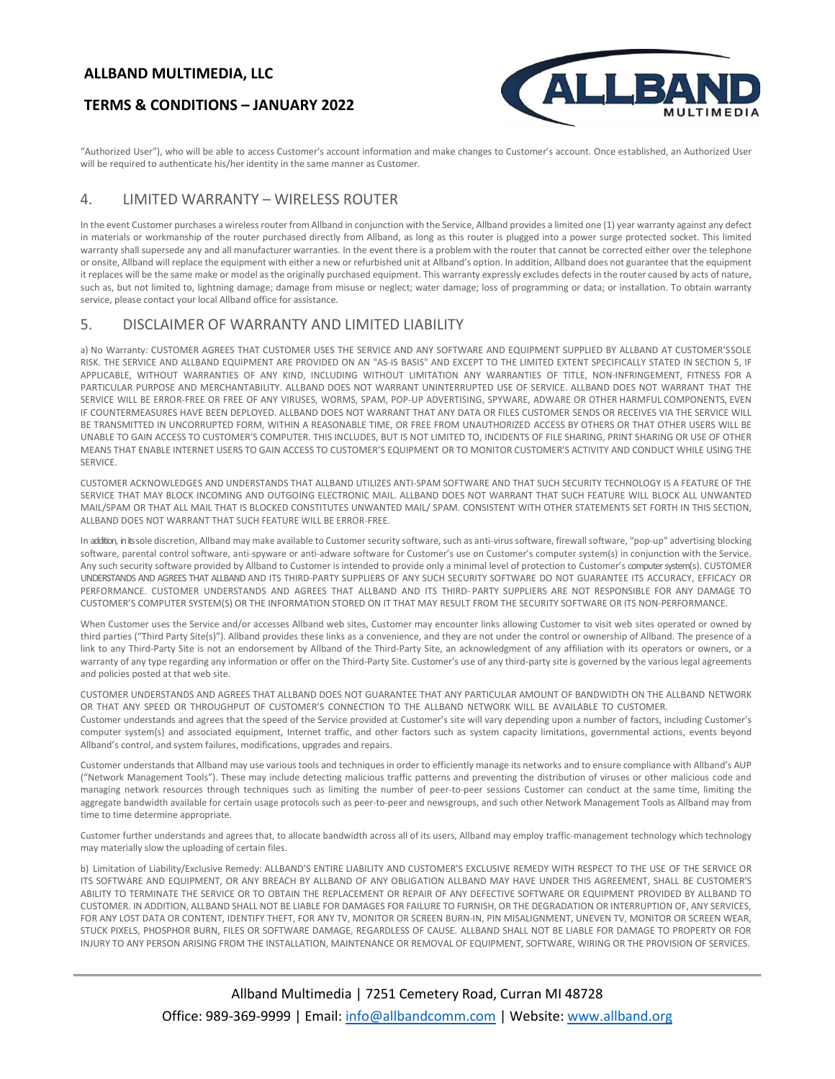# **TERMS & CONDITIONS – JANUARY 2022**



"Authorized User"), who will be able to access Customer's account information and make changes to Customer's account. Once established, an Authorized User will be required to authenticate his/her identity in the same manner as Customer.

# 4. LIMITED WARRANTY – WIRELESS ROUTER

Allband's control, and system failures, modifications, upgrades and repairs.

In the event Customer purchases a wireless router from Allband in conjunction with the Service, Allband provides a limited one (1) year warranty against any defect in materials or workmanship of the router purchased directly from Allband, as long as this router is plugged into a power surge protected socket. This limited warranty shall supersede any and all manufacturer warranties. In the event there is a problem with the router that cannot be corrected either over the telephone or onsite, Allband will replace the equipment with either a new or refurbished unit at Allband's option. In addition, Allband does not guarantee that the equipment it replaces will be the same make or model as the originally purchased equipment. This warranty expressly excludes defects in the router caused by acts of nature, such as, but not limited to, lightning damage; damage from misuse or neglect; water damage; loss of programming or data; or installation. To obtain warranty service, please contact your local Allband office for assistance.

# 5. DISCLAIMER OF WARRANTY AND LIMITED LIABILITY

a) No Warranty: CUSTOMER AGREES THAT CUSTOMER USES THE SERVICE AND ANY SOFTWARE AND EQUIPMENT SUPPLIED BY ALLBAND AT CUSTOMER'SSOLE RISK. THE SERVICE AND ALLBAND EQUIPMENT ARE PROVIDED ON AN "AS-IS BASIS" AND EXCEPT TO THE LIMITED EXTENT SPECIFICALLY STATED IN SECTION 5, IF APPLICABLE, WITHOUT WARRANTIES OF ANY KIND, INCLUDING WITHOUT LIMITATION ANY WARRANTIES OF TITLE, NON-INFRINGEMENT, FITNESS FOR A PARTICULAR PURPOSE AND MERCHANTABILITY. ALLBAND DOES NOT WARRANT UNINTERRUPTED USE OF SERVICE. ALLBAND DOES NOT WARRANT THAT THE SERVICE WILL BE ERROR-FREE OR FREE OF ANY VIRUSES, WORMS, SPAM, POP-UP ADVERTISING, SPYWARE, ADWARE OR OTHER HARMFUL COMPONENTS, EVEN IF COUNTERMEASURES HAVE BEEN DEPLOYED. ALLBAND DOES NOT WARRANT THAT ANY DATA OR FILES CUSTOMER SENDS OR RECEIVES VIA THE SERVICE WILL BE TRANSMITTED IN UNCORRUPTED FORM, WITHIN A REASONABLE TIME, OR FREE FROM UNAUTHORIZED ACCESS BY OTHERS OR THAT OTHER USERS WILL BE UNABLE TO GAIN ACCESS TO CUSTOMER'S COMPUTER. THIS INCLUDES, BUT IS NOT LIMITED TO, INCIDENTS OF FILE SHARING, PRINT SHARING OR USE OF OTHER MEANS THAT ENABLE INTERNET USERS TO GAIN ACCESS TO CUSTOMER'S EQUIPMENT OR TO MONITOR CUSTOMER'S ACTIVITY AND CONDUCT WHILE USING THE **SERVICE** 

CUSTOMER ACKNOWLEDGES AND UNDERSTANDS THAT ALLBAND UTILIZES ANTI-SPAM SOFTWARE AND THAT SUCH SECURITY TECHNOLOGY IS A FEATURE OF THE SERVICE THAT MAY BLOCK INCOMING AND OUTGOING ELECTRONIC MAIL. ALLBAND DOES NOT WARRANT THAT SUCH FEATURE WILL BLOCK ALL UNWANTED MAIL/SPAM OR THAT ALL MAIL THAT IS BLOCKED CONSTITUTES UNWANTED MAIL/ SPAM. CONSISTENT WITH OTHER STATEMENTS SET FORTH IN THIS SECTION, ALLBAND DOES NOT WARRANT THAT SUCH FEATURE WILL BE ERROR-FREE.

In addition, in its sole discretion, Allband may make available to Customer security software, such as anti-virus software, firewall software, "pop-up" advertising blocking software, parental control software, anti-spyware or anti-adware software for Customer's use on Customer's computer system(s) in conjunction with the Service. Any such security software provided by Allband to Customer is intended to provide only a minimal level of protection to Customer's computer system(s). CUSTOMER UNDERSTANDS AND AGREES THAT ALLBAND AND ITS THIRD-PARTY SUPPLIERS OF ANY SUCH SECURITY SOFTWARE DO NOT GUARANTEE ITS ACCURACY, EFFICACY OR PERFORMANCE. CUSTOMER UNDERSTANDS AND AGREES THAT ALLBAND AND ITS THIRD- PARTY SUPPLIERS ARE NOT RESPONSIBLE FOR ANY DAMAGE TO CUSTOMER'S COMPUTER SYSTEM(S) OR THE INFORMATION STORED ON IT THAT MAY RESULT FROM THE SECURITY SOFTWARE OR ITS NON-PERFORMANCE.

When Customer uses the Service and/or accesses Allband web sites, Customer may encounter links allowing Customer to visit web sites operated or owned by third parties ("Third Party Site(s)"). Allband provides these links as a convenience, and they are not under the control or ownership of Allband. The presence of a link to any Third-Party Site is not an endorsement by Allband of the Third-Party Site, an acknowledgment of any affiliation with its operators or owners, or a warranty of any type regarding any information or offer on the Third-Party Site. Customer's use of any third-party site is governed by the various legal agreements and policies posted at that web site.

CUSTOMER UNDERSTANDS AND AGREES THAT ALLBAND DOES NOT GUARANTEE THAT ANY PARTICULAR AMOUNT OF BANDWIDTH ON THE ALLBAND NETWORK OR THAT ANY SPEED OR THROUGHPUT OF CUSTOMER'S CONNECTION TO THE ALLBAND NETWORK WILL BE AVAILABLE TO CUSTOMER. Customer understands and agrees that the speed of the Service provided at Customer's site will vary depending upon a number of factors, including Customer's computer system(s) and associated equipment, Internet traffic, and other factors such as system capacity limitations, governmental actions, events beyond

Customer understands that Allband may use various tools and techniques in order to efficiently manage its networks and to ensure compliance with Allband's AUP ("Network Management Tools"). These may include detecting malicious traffic patterns and preventing the distribution of viruses or other malicious code and managing network resources through techniques such as limiting the number of peer- to-peer sessions Customer can conduct at the same time, limiting the aggregate bandwidth available for certain usage protocols such as peer-to-peer and newsgroups, and such other Network Management Tools as Allband may from time to time determine appropriate.

Customer further understands and agrees that, to allocate bandwidth across all of its users, Allband may employ traffic- management technology which technology may materially slow the uploading of certain files.

b) Limitation of Liability/Exclusive Remedy: ALLBAND'S ENTIRE LIABILITY AND CUSTOMER'S EXCLUSIVE REMEDY WITH RESPECT TO THE USE OF THE SERVICE OR ITS SOFTWARE AND EQUIPMENT, OR ANY BREACH BY ALLBAND OF ANY OBLIGATION ALLBAND MAY HAVE UNDER THIS AGREEMENT, SHALL BE CUSTOMER'S ABILITY TO TERMINATE THE SERVICE OR TO OBTAIN THE REPLACEMENT OR REPAIR OF ANY DEFECTIVE SOFTWARE OR EQUIPMENT PROVIDED BY ALLBAND TO CUSTOMER. IN ADDITION, ALLBAND SHALL NOT BE LIABLE FOR DAMAGES FOR FAILURE TO FURNISH, OR THE DEGRADATION OR INTERRUPTION OF, ANY SERVICES, FOR ANY LOST DATA OR CONTENT, IDENTIFY THEFT, FOR ANY TV, MONITOR OR SCREEN BURN-IN, PIN MISALIGNMENT, UNEVEN TV, MONITOR OR SCREEN WEAR, STUCK PIXELS, PHOSPHOR BURN, FILES OR SOFTWARE DAMAGE, REGARDLESS OF CAUSE. ALLBAND SHALL NOT BE LIABLE FOR DAMAGE TO PROPERTY OR FOR INJURY TO ANY PERSON ARISING FROM THE INSTALLATION, MAINTENANCE OR REMOVAL OF EQUIPMENT, SOFTWARE, WIRING OR THE PROVISION OF SERVICES.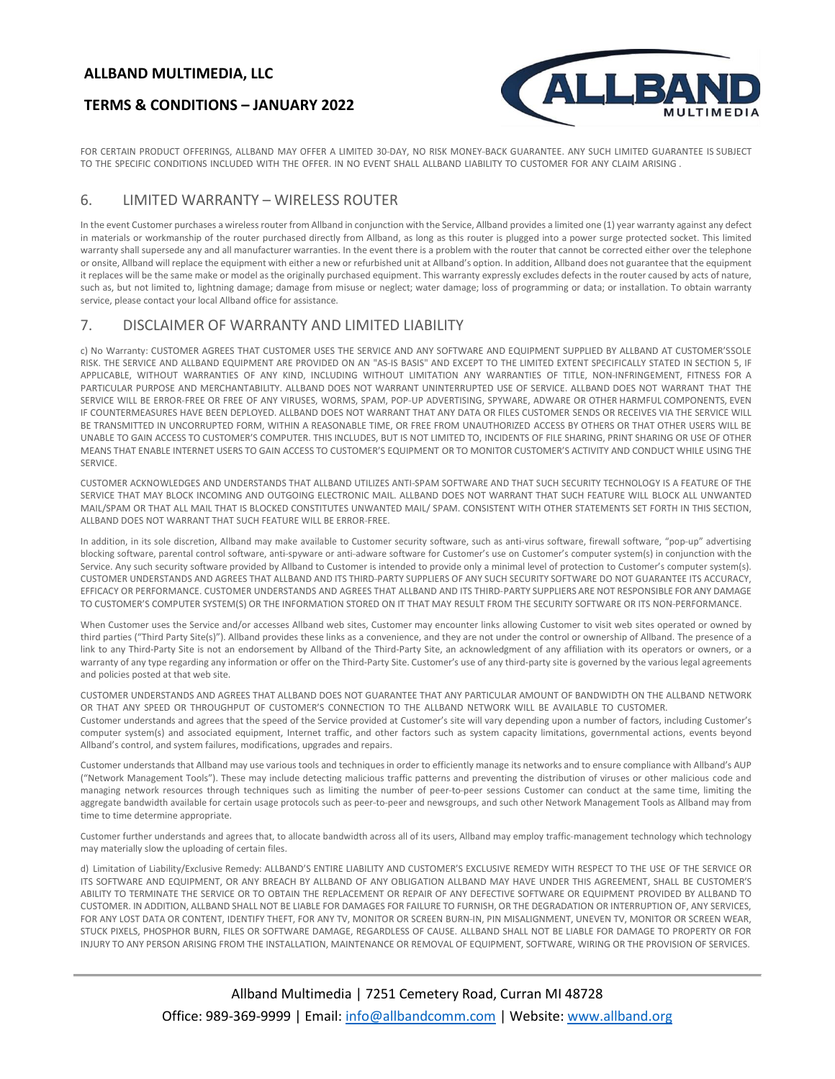### **TERMS & CONDITIONS – JANUARY 2022**



FOR CERTAIN PRODUCT OFFERINGS, ALLBAND MAY OFFER A LIMITED 30-DAY, NO RISK MONEY-BACK GUARANTEE. ANY SUCH LIMITED GUARANTEE IS SUBJECT TO THE SPECIFIC CONDITIONS INCLUDED WITH THE OFFER. IN NO EVENT SHALL ALLBAND LIABILITY TO CUSTOMER FOR ANY CLAIM ARISING .

#### 6. LIMITED WARRANTY – WIRELESS ROUTER

In the event Customer purchases a wireless router from Allband in conjunction with the Service, Allband provides a limited one (1) year warranty against any defect in materials or workmanship of the router purchased directly from Allband, as long as this router is plugged into a power surge protected socket. This limited warranty shall supersede any and all manufacturer warranties. In the event there is a problem with the router that cannot be corrected either over the telephone or onsite, Allband will replace the equipment with either a new or refurbished unit at Allband's option. In addition, Allband does not guarantee that the equipment it replaces will be the same make or model as the originally purchased equipment. This warranty expressly excludes defects in the router caused by acts of nature, such as, but not limited to, lightning damage; damage from misuse or neglect; water damage; loss of programming or data; or installation. To obtain warranty service, please contact your local Allband office for assistance.

### 7. DISCLAIMER OF WARRANTY AND LIMITED LIABILITY

c) No Warranty: CUSTOMER AGREES THAT CUSTOMER USES THE SERVICE AND ANY SOFTWARE AND EQUIPMENT SUPPLIED BY ALLBAND AT CUSTOMER'SSOLE RISK. THE SERVICE AND ALLBAND EQUIPMENT ARE PROVIDED ON AN "AS-IS BASIS" AND EXCEPT TO THE LIMITED EXTENT SPECIFICALLY STATED IN SECTION 5, IF APPLICABLE, WITHOUT WARRANTIES OF ANY KIND, INCLUDING WITHOUT LIMITATION ANY WARRANTIES OF TITLE, NON-INFRINGEMENT, FITNESS FOR A PARTICULAR PURPOSE AND MERCHANTABILITY. ALLBAND DOES NOT WARRANT UNINTERRUPTED USE OF SERVICE. ALLBAND DOES NOT WARRANT THAT THE SERVICE WILL BE ERROR-FREE OR FREE OF ANY VIRUSES, WORMS, SPAM, POP-UP ADVERTISING, SPYWARE, ADWARE OR OTHER HARMFUL COMPONENTS, EVEN IF COUNTERMEASURES HAVE BEEN DEPLOYED. ALLBAND DOES NOT WARRANT THAT ANY DATA OR FILES CUSTOMER SENDS OR RECEIVES VIA THE SERVICE WILL BE TRANSMITTED IN UNCORRUPTED FORM, WITHIN A REASONABLE TIME, OR FREE FROM UNAUTHORIZED ACCESS BY OTHERS OR THAT OTHER USERS WILL BE UNABLE TO GAIN ACCESS TO CUSTOMER'S COMPUTER. THIS INCLUDES, BUT IS NOT LIMITED TO, INCIDENTS OF FILE SHARING, PRINT SHARING OR USE OF OTHER MEANS THAT ENABLE INTERNET USERS TO GAIN ACCESS TO CUSTOMER'S EQUIPMENT OR TO MONITOR CUSTOMER'S ACTIVITY AND CONDUCT WHILE USING THE **SERVICE** 

CUSTOMER ACKNOWLEDGES AND UNDERSTANDS THAT ALLBAND UTILIZES ANTI-SPAM SOFTWARE AND THAT SUCH SECURITY TECHNOLOGY IS A FEATURE OF THE SERVICE THAT MAY BLOCK INCOMING AND OUTGOING ELECTRONIC MAIL. ALLBAND DOES NOT WARRANT THAT SUCH FEATURE WILL BLOCK ALL UNWANTED MAIL/SPAM OR THAT ALL MAIL THAT IS BLOCKED CONSTITUTES UNWANTED MAIL/ SPAM. CONSISTENT WITH OTHER STATEMENTS SET FORTH IN THIS SECTION, ALLBAND DOES NOT WARRANT THAT SUCH FEATURE WILL BE ERROR-FREE.

In addition, in its sole discretion, Allband may make available to Customer security software, such as anti-virus software, firewall software, "pop-up" advertising blocking software, parental control software, anti-spyware or anti-adware software for Customer's use on Customer's computer system(s) in conjunction with the Service. Any such security software provided by Allband to Customer is intended to provide only a minimal level of protection to Customer's computer system(s). CUSTOMER UNDERSTANDS AND AGREES THAT ALLBAND AND ITS THIRD-PARTY SUPPLIERS OF ANY SUCH SECURITY SOFTWARE DO NOT GUARANTEE ITS ACCURACY, EFFICACY OR PERFORMANCE. CUSTOMER UNDERSTANDS AND AGREES THAT ALLBAND AND ITS THIRD-PARTY SUPPLIERS ARE NOT RESPONSIBLE FOR ANY DAMAGE TO CUSTOMER'S COMPUTER SYSTEM(S) OR THE INFORMATION STORED ON IT THAT MAY RESULT FROM THE SECURITY SOFTWARE OR ITS NON-PERFORMANCE.

When Customer uses the Service and/or accesses Allband web sites, Customer may encounter links allowing Customer to visit web sites operated or owned by third parties ("Third Party Site(s)"). Allband provides these links as a convenience, and they are not under the control or ownership of Allband. The presence of a link to any Third-Party Site is not an endorsement by Allband of the Third-Party Site, an acknowledgment of any affiliation with its operators or owners, or a warranty of any type regarding any information or offer on the Third-Party Site. Customer's use of any third-party site is governed by the various legal agreements and policies posted at that web site.

CUSTOMER UNDERSTANDS AND AGREES THAT ALLBAND DOES NOT GUARANTEE THAT ANY PARTICULAR AMOUNT OF BANDWIDTH ON THE ALLBAND NETWORK OR THAT ANY SPEED OR THROUGHPUT OF CUSTOMER'S CONNECTION TO THE ALLBAND NETWORK WILL BE AVAILABLE TO CUSTOMER. Customer understands and agrees that the speed of the Service provided at Customer's site will vary depending upon a number of factors, including Customer's computer system(s) and associated equipment, Internet traffic, and other factors such as system capacity limitations, governmental actions, events beyond Allband's control, and system failures, modifications, upgrades and repairs.

Customer understands that Allband may use various tools and techniques in order to efficiently manage its networks and to ensure compliance with Allband's AUP ("Network Management Tools"). These may include detecting malicious traffic patterns and preventing the distribution of viruses or other malicious code and managing network resources through techniques such as limiting the number of peer- to-peer sessions Customer can conduct at the same time, limiting the aggregate bandwidth available for certain usage protocols such as peer-to-peer and newsgroups, and such other Network Management Tools as Allband may from time to time determine appropriate.

Customer further understands and agrees that, to allocate bandwidth across all of its users, Allband may employ traffic- management technology which technology may materially slow the uploading of certain files.

d) Limitation of Liability/Exclusive Remedy: ALLBAND'S ENTIRE LIABILITY AND CUSTOMER'S EXCLUSIVE REMEDY WITH RESPECT TO THE USE OF THE SERVICE OR ITS SOFTWARE AND EQUIPMENT, OR ANY BREACH BY ALLBAND OF ANY OBLIGATION ALLBAND MAY HAVE UNDER THIS AGREEMENT, SHALL BE CUSTOMER'S ABILITY TO TERMINATE THE SERVICE OR TO OBTAIN THE REPLACEMENT OR REPAIR OF ANY DEFECTIVE SOFTWARE OR EQUIPMENT PROVIDED BY ALLBAND TO CUSTOMER. IN ADDITION, ALLBAND SHALL NOT BE LIABLE FOR DAMAGES FOR FAILURE TO FURNISH, OR THE DEGRADATION OR INTERRUPTION OF, ANY SERVICES, FOR ANY LOST DATA OR CONTENT, IDENTIFY THEFT, FOR ANY TV, MONITOR OR SCREEN BURN-IN, PIN MISALIGNMENT, UNEVEN TV, MONITOR OR SCREEN WEAR, STUCK PIXELS, PHOSPHOR BURN, FILES OR SOFTWARE DAMAGE, REGARDLESS OF CAUSE. ALLBAND SHALL NOT BE LIABLE FOR DAMAGE TO PROPERTY OR FOR INJURY TO ANY PERSON ARISING FROM THE INSTALLATION, MAINTENANCE OR REMOVAL OF EQUIPMENT, SOFTWARE, WIRING OR THE PROVISION OF SERVICES.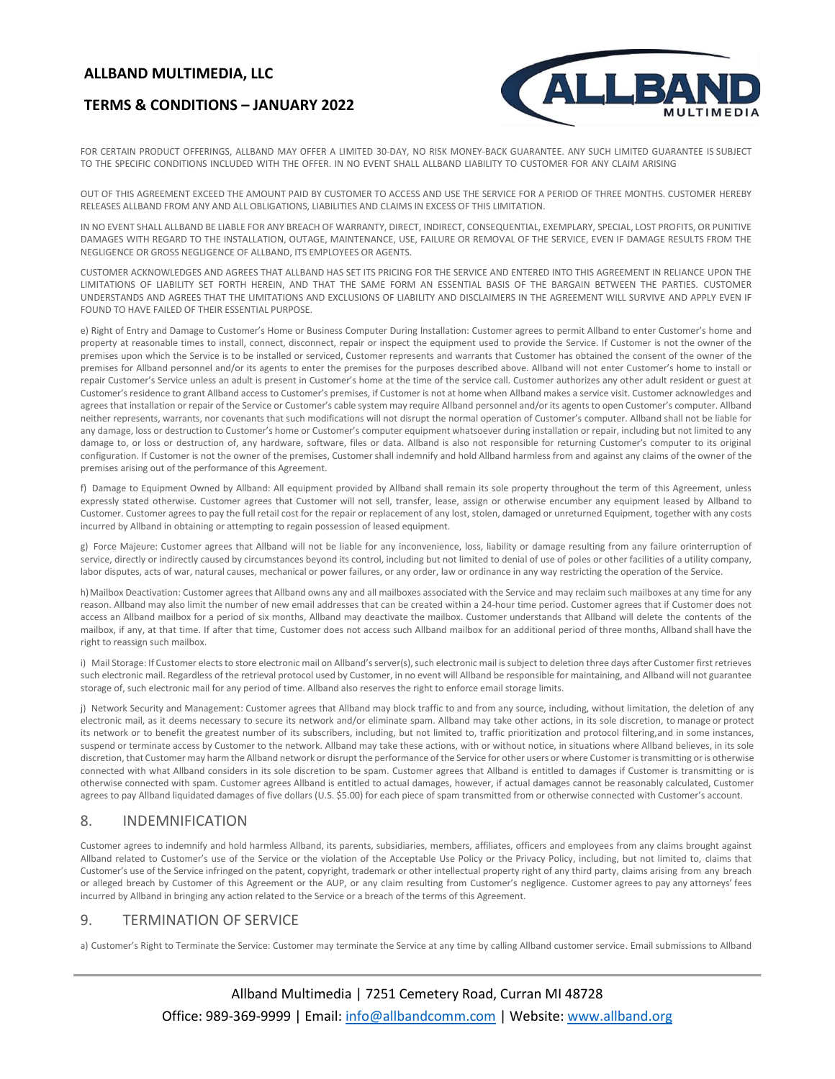# **TERMS & CONDITIONS – JANUARY 2022**



FOR CERTAIN PRODUCT OFFERINGS, ALLBAND MAY OFFER A LIMITED 30-DAY, NO RISK MONEY-BACK GUARANTEE. ANY SUCH LIMITED GUARANTEE IS SUBJECT TO THE SPECIFIC CONDITIONS INCLUDED WITH THE OFFER. IN NO EVENT SHALL ALLBAND LIABILITY TO CUSTOMER FOR ANY CLAIM ARISING

OUT OF THIS AGREEMENT EXCEED THE AMOUNT PAID BY CUSTOMER TO ACCESS AND USE THE SERVICE FOR A PERIOD OF THREE MONTHS. CUSTOMER HEREBY RELEASES ALLBAND FROM ANY AND ALL OBLIGATIONS, LIABILITIES AND CLAIMS IN EXCESS OF THIS LIMITATION.

IN NO EVENT SHALL ALLBAND BE LIABLE FOR ANY BREACH OF WARRANTY, DIRECT, INDIRECT, CONSEQUENTIAL, EXEMPLARY, SPECIAL, LOST PROFITS, OR PUNITIVE DAMAGES WITH REGARD TO THE INSTALLATION, OUTAGE, MAINTENANCE, USE, FAILURE OR REMOVAL OF THE SERVICE, EVEN IF DAMAGE RESULTS FROM THE NEGLIGENCE OR GROSS NEGLIGENCE OF ALLBAND, ITS EMPLOYEES OR AGENTS.

CUSTOMER ACKNOWLEDGES AND AGREES THAT ALLBAND HAS SET ITS PRICING FOR THE SERVICE AND ENTERED INTO THIS AGREEMENT IN RELIANCE UPON THE LIMITATIONS OF LIABILITY SET FORTH HEREIN, AND THAT THE SAME FORM AN ESSENTIAL BASIS OF THE BARGAIN BETWEEN THE PARTIES. CUSTOMER UNDERSTANDS AND AGREES THAT THE LIMITATIONS AND EXCLUSIONS OF LIABILITY AND DISCLAIMERS IN THE AGREEMENT WILL SURVIVE AND APPLY EVEN IF FOUND TO HAVE FAILED OF THEIR ESSENTIAL PURPOSE.

e) Right of Entry and Damage to Customer's Home or Business Computer During Installation: Customer agrees to permit Allband to enter Customer's home and property at reasonable times to install, connect, disconnect, repair or inspect the equipment used to provide the Service. If Customer is not the owner of the premises upon which the Service is to be installed or serviced, Customer represents and warrants that Customer has obtained the consent of the owner of the premises for Allband personnel and/or its agents to enter the premises for the purposes described above. Allband will not enter Customer's home to install or repair Customer's Service unless an adult is present in Customer's home at the time of the service call. Customer authorizes any other adult resident or guest at Customer's residence to grant Allband access to Customer's premises, if Customer is not at home when Allband makes a service visit. Customer acknowledges and agrees that installation or repair of the Service or Customer's cable system may require Allband personnel and/or its agents to open Customer's computer. Allband neither represents, warrants, nor covenants that such modifications will not disrupt the normal operation of Customer's computer. Allband shall not be liable for any damage, loss or destruction to Customer's home or Customer's computer equipment whatsoever during installation or repair, including but not limited to any damage to, or loss or destruction of, any hardware, software, files or data. Allband is also not responsible for returning Customer's computer to its original configuration. If Customer is not the owner of the premises, Customer shall indemnify and hold Allband harmless from and against any claims of the owner of the premises arising out of the performance of this Agreement.

f) Damage to Equipment Owned by Allband: All equipment provided by Allband shall remain its sole property throughout the term of this Agreement, unless expressly stated otherwise. Customer agrees that Customer will not sell, transfer, lease, assign or otherwise encumber any equipment leased by Allband to Customer. Customer agrees to pay the full retail cost for the repair or replacement of any lost, stolen, damaged or unreturned Equipment, together with any costs incurred by Allband in obtaining or attempting to regain possession of leased equipment.

g) Force Majeure: Customer agrees that Allband will not be liable for any inconvenience, loss, liability or damage resulting from any failure orinterruption of service, directly or indirectly caused by circumstances beyond its control, including but not limited to denial of use of poles or other facilities of a utility company, labor disputes, acts of war, natural causes, mechanical or power failures, or any order, law or ordinance in any way restricting the operation of the Service.

h) Mailbox Deactivation: Customer agrees that Allband owns any and all mailboxes associated with the Service and may reclaim such mailboxes at any time for any reason. Allband may also limit the number of new email addresses that can be created within a 24-hour time period. Customer agrees that if Customer does not access an Allband mailbox for a period of six months, Allband may deactivate the mailbox. Customer understands that Allband will delete the contents of the mailbox, if any, at that time. If after that time, Customer does not access such Allband mailbox for an additional period of three months, Allband shall have the right to reassign such mailbox.

i) Mail Storage: If Customer elects to store electronic mail on Allband's server(s), such electronic mail is subject to deletion three days after Customer first retrieves such electronic mail. Regardless of the retrieval protocol used by Customer, in no event will Allband be responsible for maintaining, and Allband will not guarantee storage of, such electronic mail for any period of time. Allband also reserves the right to enforce email storage limits.

j) Network Security and Management: Customer agrees that Allband may block traffic to and from any source, including, without limitation, the deletion of any electronic mail, as it deems necessary to secure its network and/or eliminate spam. Allband may take other actions, in its sole discretion, to manage or protect its network or to benefit the greatest number of its subscribers, including, but not limited to, traffic prioritization and protocol filtering,and in some instances, suspend or terminate access by Customer to the network. Allband may take these actions, with or without notice, in situations where Allband believes, in its sole discretion, that Customer may harm the Allband network or disrupt the performance of the Service for other users or where Customer is transmitting or is otherwise connected with what Allband considers in its sole discretion to be spam. Customer agrees that Allband is entitled to damages if Customer is transmitting or is otherwise connected with spam. Customer agrees Allband is entitled to actual damages, however, if actual damages cannot be reasonably calculated, Customer agrees to pay Allband liquidated damages of five dollars (U.S. \$5.00) for each piece of spam transmitted from or otherwise connected with Customer's account.

# 8. INDEMNIFICATION

Customer agrees to indemnify and hold harmless Allband, its parents, subsidiaries, members, affiliates, officers and employees from any claims brought against Allband related to Customer's use of the Service or the violation of the Acceptable Use Policy or the Privacy Policy, including, but not limited to, claims that Customer's use of the Service infringed on the patent, copyright, trademark or other intellectual property right of any third party, claims arising from any breach or alleged breach by Customer of this Agreement or the AUP, or any claim resulting from Customer's negligence. Customer agrees to pay any attorneys' fees incurred by Allband in bringing any action related to the Service or a breach of the terms of this Agreement.

# 9. TERMINATION OF SERVICE

a) Customer's Right to Terminate the Service: Customer may terminate the Service at any time by calling Allband customer service. Email submissions to Allband